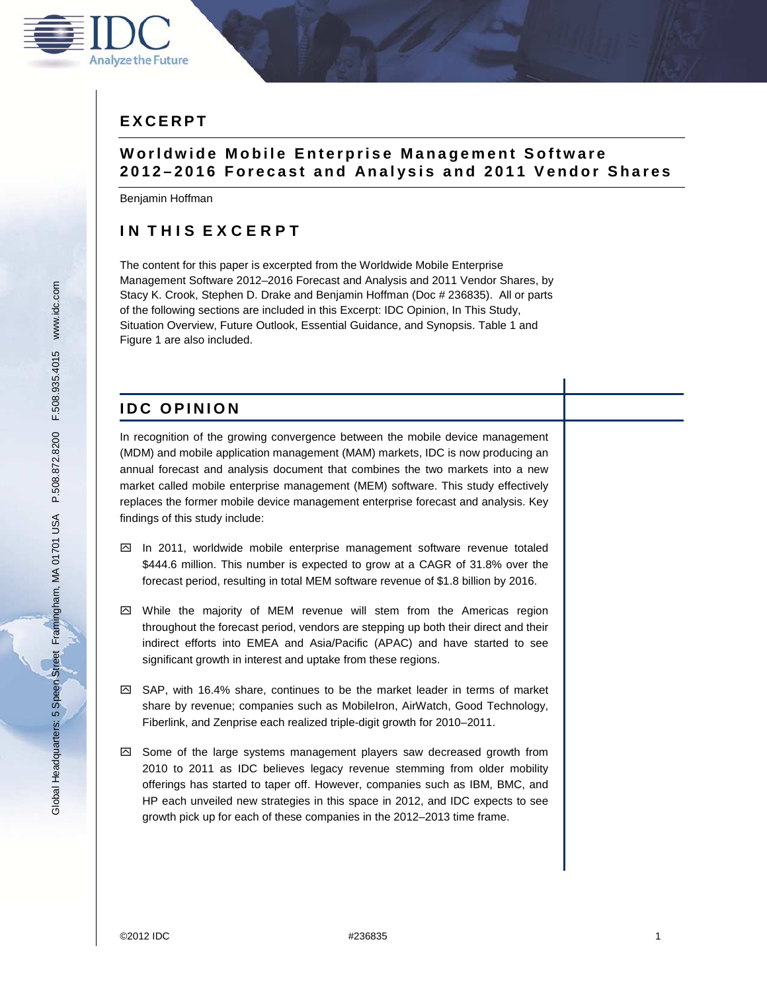

# **E X C E R P T**

## **W o r l d w i d e M o b i l e E n t e r p r i s e M a n a g e m e n t S o f t w a r e 2 0 1 2 – 2 0 1 6 F o r e c a s t a n d A n a l y s i s a n d 2 0 1 1 V e n d o r S h a r e s**

Benjamin Hoffman

# **IN THIS EXCERPT**

The content for this paper is excerpted from the Worldwide Mobile Enterprise Management Software 2012–2016 Forecast and Analysis and 2011 Vendor Shares, by Stacy K. Crook, Stephen D. Drake and Benjamin Hoffman (Doc # 236835). All or parts of the following sections are included in this Excerpt: IDC Opinion, In This Study, Situation Overview, Future Outlook, Essential Guidance, and Synopsis. Table 1 and Figure 1 are also included.

# **IDC OPINION**

In recognition of the growing convergence between the mobile device management (MDM) and mobile application management (MAM) markets, IDC is now producing an annual forecast and analysis document that combines the two markets into a new market called mobile enterprise management (MEM) software. This study effectively replaces the former mobile device management enterprise forecast and analysis. Key findings of this study include:

- $\boxtimes$  In 2011, worldwide mobile enterprise management software revenue totaled \$444.6 million. This number is expected to grow at a CAGR of 31.8% over the forecast period, resulting in total MEM software revenue of \$1.8 billion by 2016.
- $\boxtimes$  While the majority of MEM revenue will stem from the Americas region throughout the forecast period, vendors are stepping up both their direct and their indirect efforts into EMEA and Asia/Pacific (APAC) and have started to see significant growth in interest and uptake from these regions.
- $\boxtimes$  SAP, with 16.4% share, continues to be the market leader in terms of market share by revenue; companies such as MobileIron, AirWatch, Good Technology, Fiberlink, and Zenprise each realized triple-digit growth for 2010–2011.
- $\boxtimes$  Some of the large systems management players saw decreased growth from 2010 to 2011 as IDC believes legacy revenue stemming from older mobility offerings has started to taper off. However, companies such as IBM, BMC, and HP each unveiled new strategies in this space in 2012, and IDC expects to see growth pick up for each of these companies in the 2012–2013 time frame.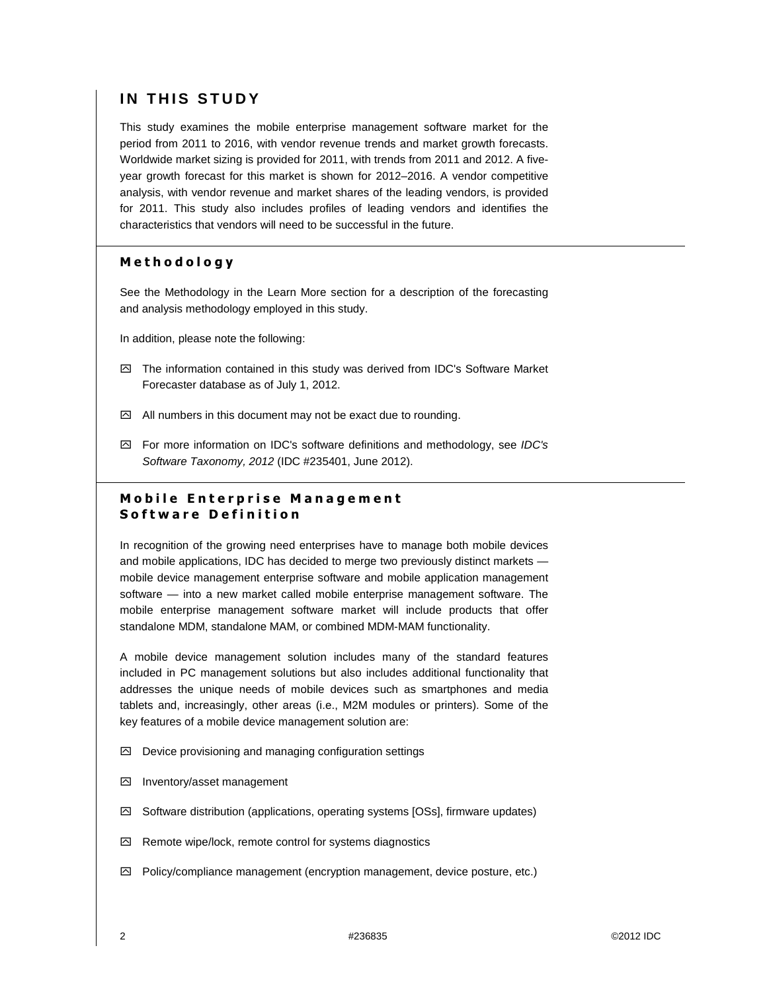# **IN THIS STUDY**

This study examines the mobile enterprise management software market for the period from 2011 to 2016, with vendor revenue trends and market growth forecasts. Worldwide market sizing is provided for 2011, with trends from 2011 and 2012. A fiveyear growth forecast for this market is shown for 2012–2016. A vendor competitive analysis, with vendor revenue and market shares of the leading vendors, is provided for 2011. This study also includes profiles of leading vendors and identifies the characteristics that vendors will need to be successful in the future.

## Methodology

See the Methodology in the Learn More section for a description of the forecasting and analysis methodology employed in this study.

In addition, please note the following:

- $\boxtimes$  The information contained in this study was derived from IDC's Software Market Forecaster database as of July 1, 2012.
- $\boxtimes$  All numbers in this document may not be exact due to rounding.
- $\boxtimes$  For more information on IDC's software definitions and methodology, see IDC's Software Taxonomy, 2012 (IDC #235401, June 2012).

## **Mobile Enterprise Management** Software Definition

In recognition of the growing need enterprises have to manage both mobile devices and mobile applications, IDC has decided to merge two previously distinct markets mobile device management enterprise software and mobile application management software — into a new market called mobile enterprise management software. The mobile enterprise management software market will include products that offer standalone MDM, standalone MAM, or combined MDM-MAM functionality.

A mobile device management solution includes many of the standard features included in PC management solutions but also includes additional functionality that addresses the unique needs of mobile devices such as smartphones and media tablets and, increasingly, other areas (i.e., M2M modules or printers). Some of the key features of a mobile device management solution are:

- $\boxtimes$  Device provisioning and managing configuration settings
- ִ Inventory/asset management
- ִ Software distribution (applications, operating systems [OSs], firmware updates)
- $\boxtimes$  Remote wipe/lock, remote control for systems diagnostics
- $\boxtimes$  Policy/compliance management (encryption management, device posture, etc.)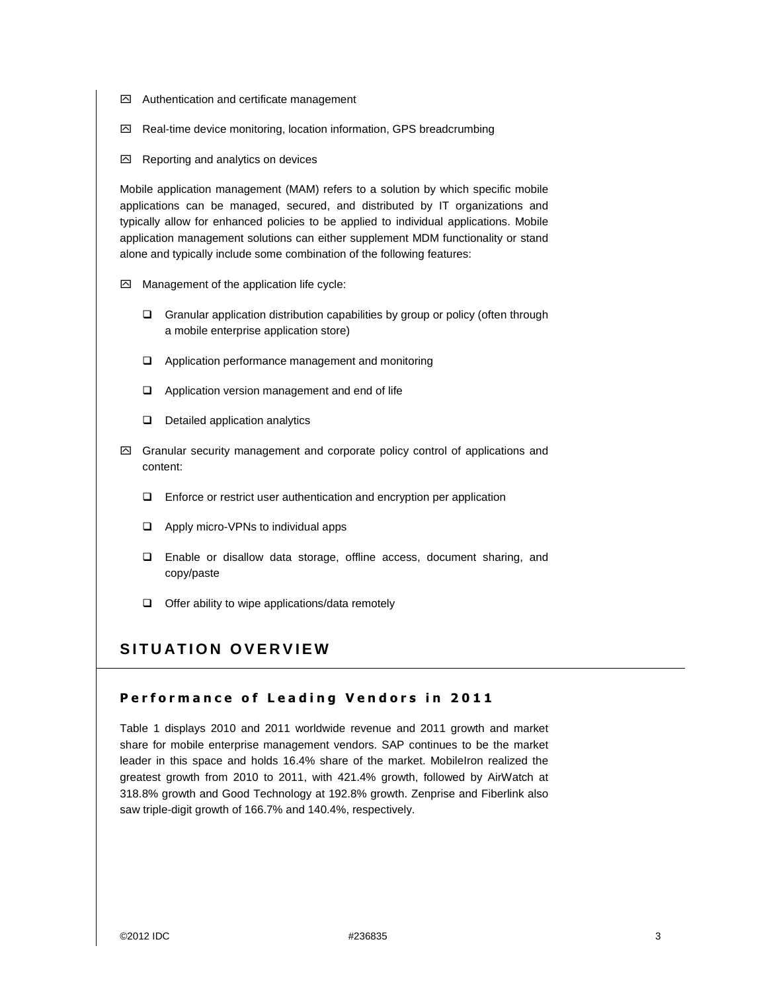- $\boxdot$  Authentication and certificate management
- ִ Real-time device monitoring, location information, GPS breadcrumbing
- $\boxtimes$  Reporting and analytics on devices

Mobile application management (MAM) refers to a solution by which specific mobile applications can be managed, secured, and distributed by IT organizations and typically allow for enhanced policies to be applied to individual applications. Mobile application management solutions can either supplement MDM functionality or stand alone and typically include some combination of the following features:

- $\oslash$  Management of the application life cycle:
	- □ Granular application distribution capabilities by group or policy (often through a mobile enterprise application store)
	- Application performance management and monitoring
	- **a** Application version management and end of life
	- D Detailed application analytics
- $\boxtimes$  Granular security management and corporate policy control of applications and content:
	- □ Enforce or restrict user authentication and encryption per application
	- □ Apply micro-VPNs to individual apps
	- □ Enable or disallow data storage, offline access, document sharing, and copy/paste
	- □ Offer ability to wipe applications/data remotely

# SITUATION OVERVIEW

#### Performance of Leading Vendors in 2011

Table 1 displays 2010 and 2011 worldwide revenue and 2011 growth and market share for mobile enterprise management vendors. SAP continues to be the market leader in this space and holds 16.4% share of the market. MobileIron realized the greatest growth from 2010 to 2011, with 421.4% growth, followed by AirWatch at 318.8% growth and Good Technology at 192.8% growth. Zenprise and Fiberlink also saw triple-digit growth of 166.7% and 140.4%, respectively.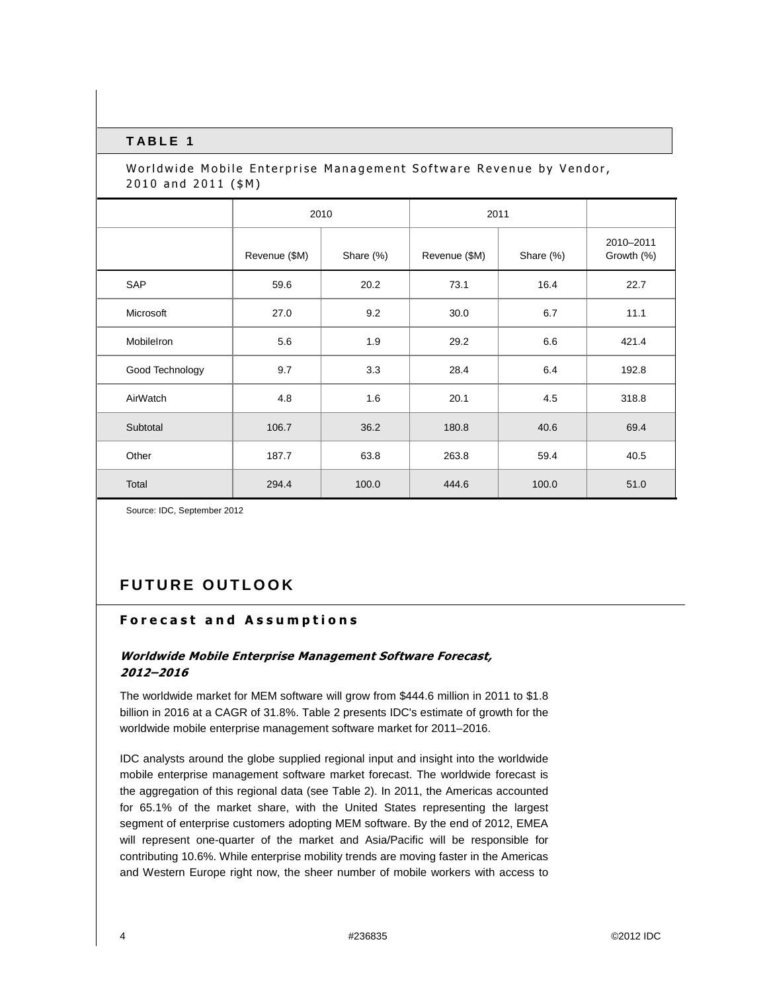#### **T A B L E 1**

## Worldwide Mobile Enterprise Management Software Revenue by Vendor, 2010 and 2011 (\$M)

|                   | 2010          |           | 2011          |           |                         |
|-------------------|---------------|-----------|---------------|-----------|-------------------------|
|                   | Revenue (\$M) | Share (%) | Revenue (\$M) | Share (%) | 2010-2011<br>Growth (%) |
| SAP               | 59.6          | 20.2      | 73.1          | 16.4      | 22.7                    |
| Microsoft         | 27.0          | 9.2       | 30.0          | 6.7       | 11.1                    |
| <b>MobileIron</b> | 5.6           | 1.9       | 29.2          | 6.6       | 421.4                   |
| Good Technology   | 9.7           | 3.3       | 28.4          | 6.4       | 192.8                   |
| AirWatch          | 4.8           | 1.6       | 20.1          | 4.5       | 318.8                   |
| Subtotal          | 106.7         | 36.2      | 180.8         | 40.6      | 69.4                    |
| Other             | 187.7         | 63.8      | 263.8         | 59.4      | 40.5                    |
| Total             | 294.4         | 100.0     | 444.6         | 100.0     | 51.0                    |

Source: IDC, September 2012

# **FUTURE OUTLOOK**

## Forecast and Assumptions

## Worldwide Mobile Enterprise Management Software Forecast, 2012–2016

The worldwide market for MEM software will grow from \$444.6 million in 2011 to \$1.8 billion in 2016 at a CAGR of 31.8%. Table 2 presents IDC's estimate of growth for the worldwide mobile enterprise management software market for 2011–2016.

IDC analysts around the globe supplied regional input and insight into the worldwide mobile enterprise management software market forecast. The worldwide forecast is the aggregation of this regional data (see Table 2). In 2011, the Americas accounted for 65.1% of the market share, with the United States representing the largest segment of enterprise customers adopting MEM software. By the end of 2012, EMEA will represent one-quarter of the market and Asia/Pacific will be responsible for contributing 10.6%. While enterprise mobility trends are moving faster in the Americas and Western Europe right now, the sheer number of mobile workers with access to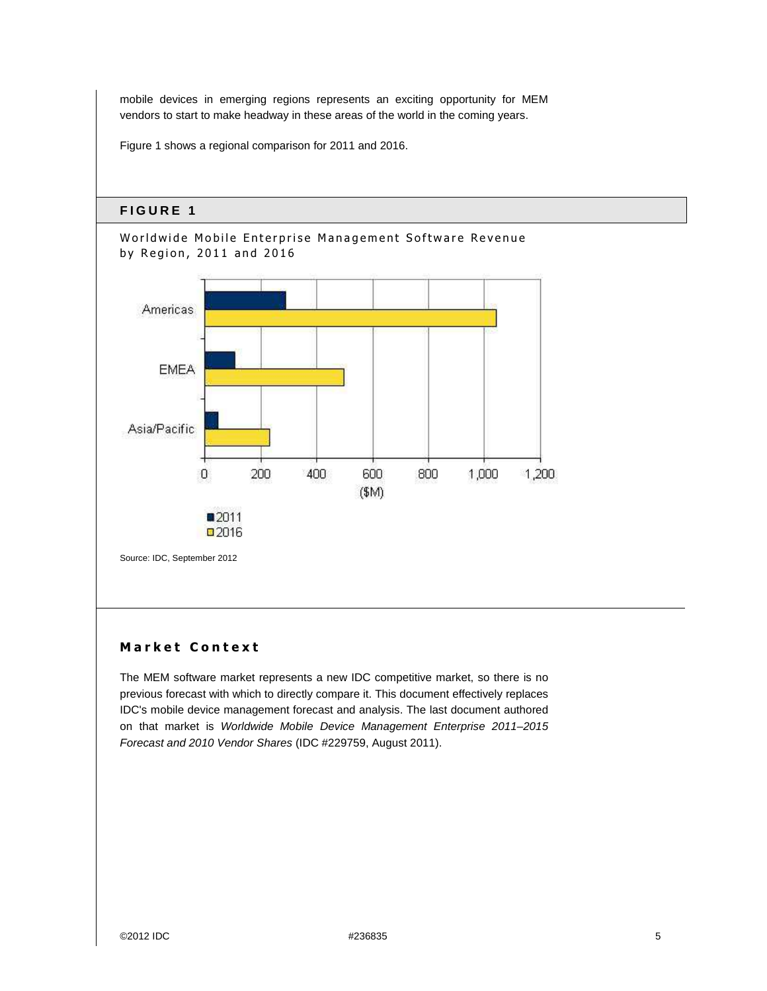mobile devices in emerging regions represents an exciting opportunity for MEM vendors to start to make headway in these areas of the world in the coming years.

Figure 1 shows a regional comparison for 2011 and 2016.

## **F I G U R E 1**



## Market Context

The MEM software market represents a new IDC competitive market, so there is no previous forecast with which to directly compare it. This document effectively replaces IDC's mobile device management forecast and analysis. The last document authored on that market is Worldwide Mobile Device Management Enterprise 2011–2015 Forecast and 2010 Vendor Shares (IDC #229759, August 2011).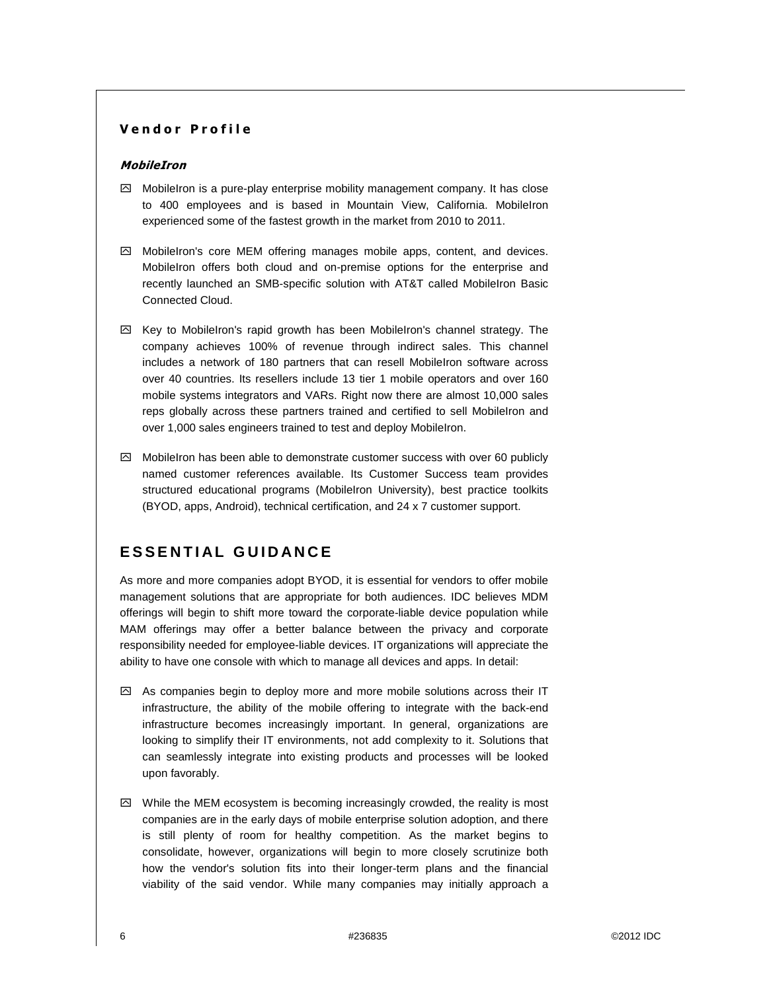#### Vendor Profile

#### MobileIron

- $\boxtimes$  MobileIron is a pure-play enterprise mobility management company. It has close to 400 employees and is based in Mountain View, California. MobileIron experienced some of the fastest growth in the market from 2010 to 2011.
- $\boxtimes$  MobileIron's core MEM offering manages mobile apps, content, and devices. MobileIron offers both cloud and on-premise options for the enterprise and recently launched an SMB-specific solution with AT&T called MobileIron Basic Connected Cloud.
- $\boxtimes$  Key to MobileIron's rapid growth has been MobileIron's channel strategy. The company achieves 100% of revenue through indirect sales. This channel includes a network of 180 partners that can resell MobileIron software across over 40 countries. Its resellers include 13 tier 1 mobile operators and over 160 mobile systems integrators and VARs. Right now there are almost 10,000 sales reps globally across these partners trained and certified to sell MobileIron and over 1,000 sales engineers trained to test and deploy MobileIron.
- $\boxtimes$  MobileIron has been able to demonstrate customer success with over 60 publicly named customer references available. Its Customer Success team provides structured educational programs (MobileIron University), best practice toolkits (BYOD, apps, Android), technical certification, and 24 x 7 customer support.

# **E S S E N T I A L G U I D A N C E**

As more and more companies adopt BYOD, it is essential for vendors to offer mobile management solutions that are appropriate for both audiences. IDC believes MDM offerings will begin to shift more toward the corporate-liable device population while MAM offerings may offer a better balance between the privacy and corporate responsibility needed for employee-liable devices. IT organizations will appreciate the ability to have one console with which to manage all devices and apps. In detail:

- $\boxtimes$  As companies begin to deploy more and more mobile solutions across their IT infrastructure, the ability of the mobile offering to integrate with the back-end infrastructure becomes increasingly important. In general, organizations are looking to simplify their IT environments, not add complexity to it. Solutions that can seamlessly integrate into existing products and processes will be looked upon favorably.
- $\boxtimes$  While the MEM ecosystem is becoming increasingly crowded, the reality is most companies are in the early days of mobile enterprise solution adoption, and there is still plenty of room for healthy competition. As the market begins to consolidate, however, organizations will begin to more closely scrutinize both how the vendor's solution fits into their longer-term plans and the financial viability of the said vendor. While many companies may initially approach a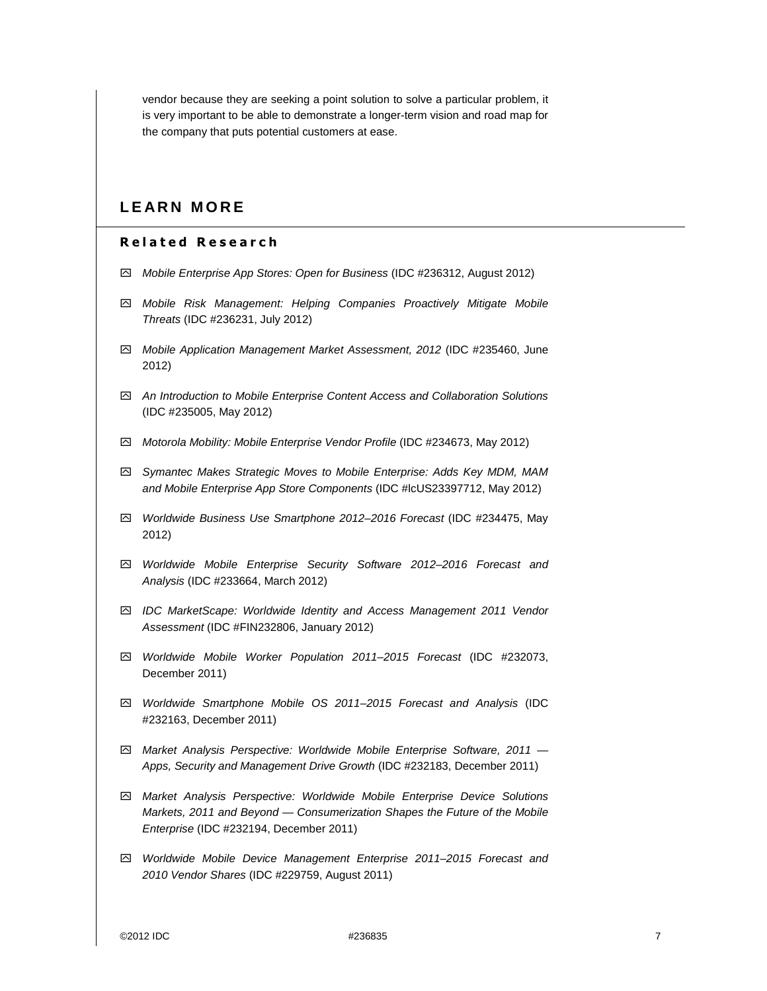vendor because they are seeking a point solution to solve a particular problem, it is very important to be able to demonstrate a longer-term vision and road map for the company that puts potential customers at ease.

## **L E A R N M O R E**

#### Related Research

- ִ Mobile Enterprise App Stores: Open for Business (IDC #236312, August 2012)
- ִ Mobile Risk Management: Helping Companies Proactively Mitigate Mobile Threats (IDC #236231, July 2012)
- ִ Mobile Application Management Market Assessment, 2012 (IDC #235460, June 2012)
- ִ An Introduction to Mobile Enterprise Content Access and Collaboration Solutions (IDC #235005, May 2012)
- ִ Motorola Mobility: Mobile Enterprise Vendor Profile (IDC #234673, May 2012)
- ִ Symantec Makes Strategic Moves to Mobile Enterprise: Adds Key MDM, MAM and Mobile Enterprise App Store Components (IDC #lcUS23397712, May 2012)
- ִ Worldwide Business Use Smartphone 2012–2016 Forecast (IDC #234475, May 2012)
- ִ Worldwide Mobile Enterprise Security Software 2012–2016 Forecast and Analysis (IDC #233664, March 2012)
- ִ IDC MarketScape: Worldwide Identity and Access Management 2011 Vendor Assessment (IDC #FIN232806, January 2012)
- ִ Worldwide Mobile Worker Population 2011–2015 Forecast (IDC #232073, December 2011)
- $\boxtimes$  Worldwide Smartphone Mobile OS 2011–2015 Forecast and Analysis (IDC #232163, December 2011)
- ִ Market Analysis Perspective: Worldwide Mobile Enterprise Software, 2011 Apps, Security and Management Drive Growth (IDC #232183, December 2011)
- ִ Market Analysis Perspective: Worldwide Mobile Enterprise Device Solutions Markets, 2011 and Beyond — Consumerization Shapes the Future of the Mobile Enterprise (IDC #232194, December 2011)
- ִ Worldwide Mobile Device Management Enterprise 2011–2015 Forecast and 2010 Vendor Shares (IDC #229759, August 2011)